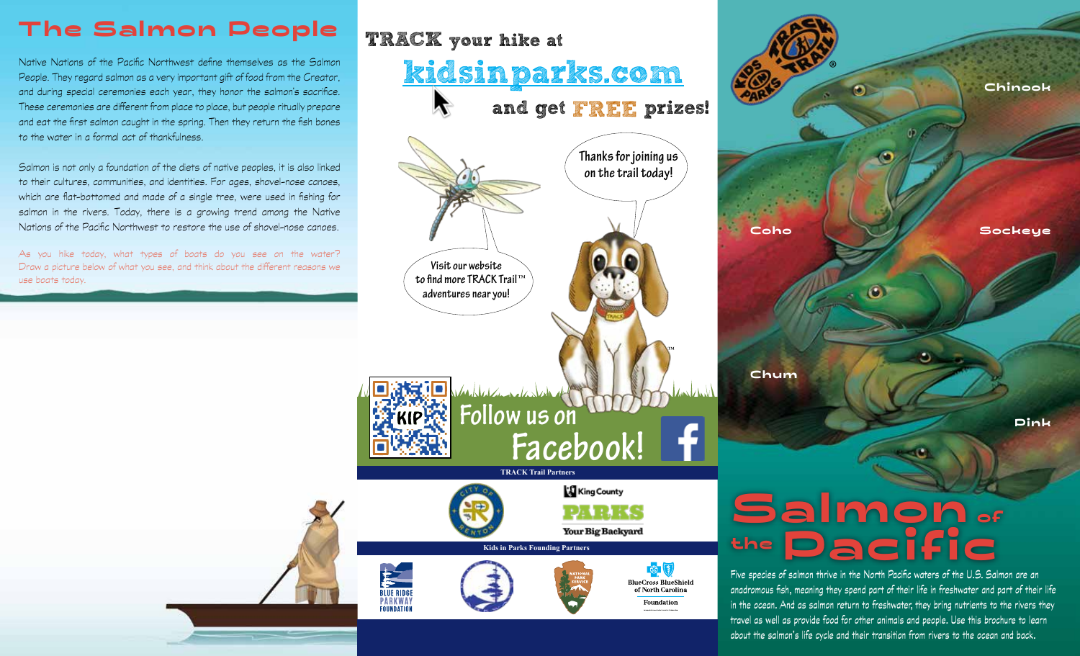## **The Salmon People**

Native Nations of the Pacific Northwest define themselves as the Salmon People. They regard salmon as a very important gift of food from the Creator, and during special ceremonies each year, they honor the salmon's sacrifice. These ceremonies are different from place to place, but people ritually prepare and eat the first salmon caught in the spring. Then they return the fish bones to the water in a formal act of thankfulness.

Salmon is not only a foundation of the diets of native peoples, it is also linked to their cultures, communities, and identities. For ages, shovel-nose canoes, which are flat-bottomed and made of a single tree, were used in fishing for salmon in the rivers. Today, there is a growing trend among the Native Nations of the Pacific Northwest to restore the use of shovel-nose canoes.

As you hike today, what types of boats do you see on the water? Draw a picture below of what you see, and think about the different reasons we use boats today.



®**Chinook Coho Sockeye**  $\bullet$ **Chum Pink**

## **Salmon of thePacific**

Five species of salmon thrive in the North Pacific waters of the U.S. Salmon are an anadromous fish, meaning they spend part of their life in freshwater and part of their life in the ocean. And as salmon return to freshwater, they bring nutrients to the rivers they travel as well as provide food for other animals and people. Use this brochure to learn about the salmon's life cycle and their transition from rivers to the ocean and back.